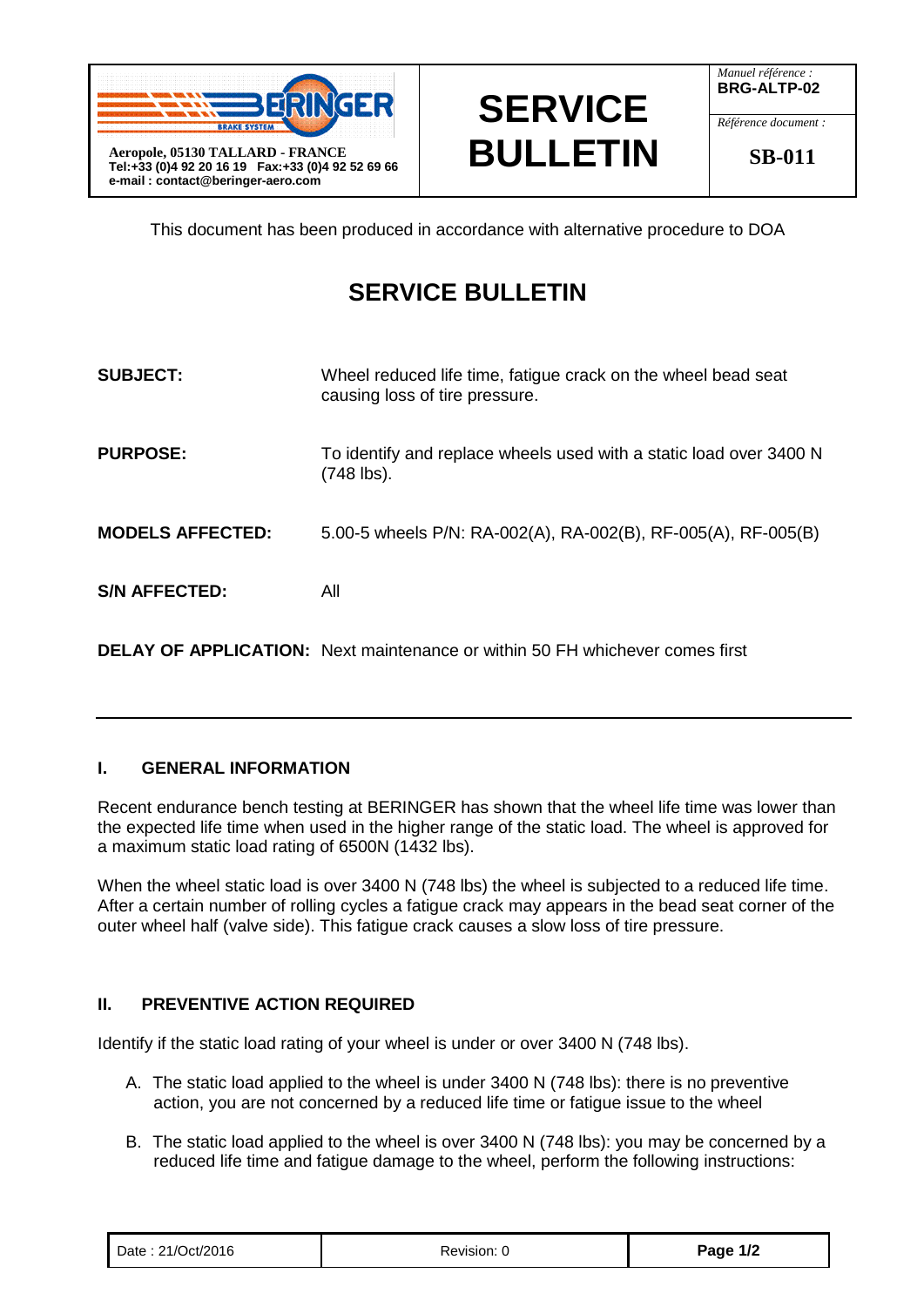



*Manuel référence :* **BRG-ALTP-02**

*Référence document :*

**SB-011**

This document has been produced in accordance with alternative procedure to DOA

## **SERVICE BULLETIN**

| <b>SUBJECT:</b>         | Wheel reduced life time, fatigue crack on the wheel bead seat<br>causing loss of tire pressure. |
|-------------------------|-------------------------------------------------------------------------------------------------|
| <b>PURPOSE:</b>         | To identify and replace wheels used with a static load over 3400 N<br>(748 lbs).                |
| <b>MODELS AFFECTED:</b> | 5.00-5 wheels P/N: RA-002(A), RA-002(B), RF-005(A), RF-005(B)                                   |
| <b>S/N AFFECTED:</b>    | All                                                                                             |

**DELAY OF APPLICATION:** Next maintenance or within 50 FH whichever comes first

## **I. GENERAL INFORMATION**

Recent endurance bench testing at BERINGER has shown that the wheel life time was lower than the expected life time when used in the higher range of the static load. The wheel is approved for a maximum static load rating of 6500N (1432 lbs).

When the wheel static load is over 3400 N (748 lbs) the wheel is subjected to a reduced life time. After a certain number of rolling cycles a fatigue crack may appears in the bead seat corner of the outer wheel half (valve side). This fatigue crack causes a slow loss of tire pressure.

## **II. PREVENTIVE ACTION REQUIRED**

Identify if the static load rating of your wheel is under or over 3400 N (748 lbs).

- A. The static load applied to the wheel is under 3400 N (748 lbs): there is no preventive action, you are not concerned by a reduced life time or fatigue issue to the wheel
- B. The static load applied to the wheel is over 3400 N (748 lbs): you may be concerned by a reduced life time and fatigue damage to the wheel, perform the following instructions:

| Date: 21/Oct/2016 | Revision: 0 | Page 1/2 |
|-------------------|-------------|----------|
|-------------------|-------------|----------|